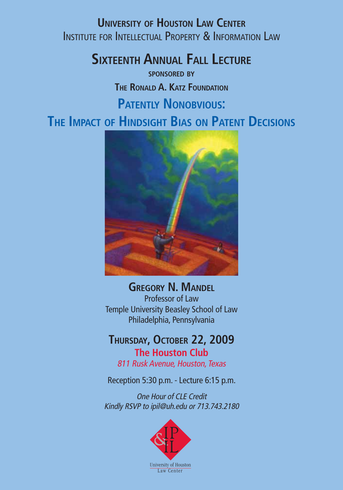**University of Houston Law Center** Institute for Intellectual Property & Information Law

**Sixteenth Annual Fall Lecture**

**sponsored by The Ronald A. Katz Foundation Patently Nonobvious: The Impact of Hindsight Bias on Patent Decisions**



**Gregory N. Mandel** Professor of Law Temple University Beasley School of Law Philadelphia, Pennsylvania

### **Thursday, October 22, 2009 The Houston Club**

811 Rusk Avenue, Houston, Texas

Reception 5:30 p.m. - Lecture 6:15 p.m.

One Hour of CLE Credit Kindly RSVP to ipil@uh.edu or 713.743.2180

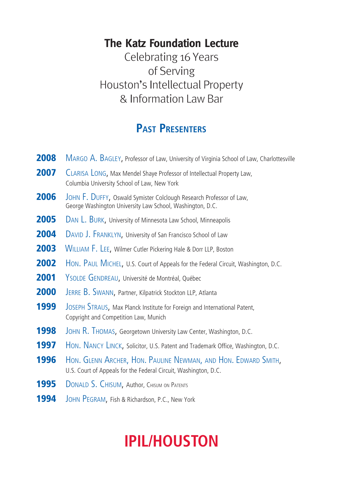### **The Katz Foundation Lecture**

Celebrating 16 Years of Serving Houston's Intellectual Property & Information Law Bar

### **Past Presenters**

| 2008 | MARGO A. BAGLEY, Professor of Law, University of Virginia School of Law, Charlottesville                                          |
|------|-----------------------------------------------------------------------------------------------------------------------------------|
| 2007 | CLARISA LONG, Max Mendel Shaye Professor of Intellectual Property Law,<br>Columbia University School of Law, New York             |
| 2006 | JOHN F. DUFFY, Oswald Symister Colclough Research Professor of Law,<br>George Washington University Law School, Washington, D.C.  |
| 2005 | DAN L. BURK, University of Minnesota Law School, Minneapolis                                                                      |
| 2004 | DAVID J. FRANKLYN, University of San Francisco School of Law                                                                      |
| 2003 | WILLIAM F. LEE, Wilmer Cutler Pickering Hale & Dorr LLP, Boston                                                                   |
| 2002 | HON. PAUL MICHEL, U.S. Court of Appeals for the Federal Circuit, Washington, D.C.                                                 |
| 2001 | YSOLDE GENDREAU, Université de Montréal, Québec                                                                                   |
| 2000 | JERRE B. SWANN, Partner, Kilpatrick Stockton LLP, Atlanta                                                                         |
| 1999 | JOSEPH STRAUS, Max Planck Institute for Foreign and International Patent,<br>Copyright and Competition Law, Munich                |
| 1998 | JOHN R. THOMAS, Georgetown University Law Center, Washington, D.C.                                                                |
| 1997 | HON. NANCY LINCK, Solicitor, U.S. Patent and Trademark Office, Washington, D.C.                                                   |
| 1996 | HON. GLENN ARCHER, HON. PAULINE NEWMAN, AND HON. EDWARD SMITH,<br>U.S. Court of Appeals for the Federal Circuit, Washington, D.C. |
| 1995 | DONALD S. CHISUM, Author, CHISUM ON PATENTS                                                                                       |
| 1994 | JOHN PEGRAM, Fish & Richardson, P.C., New York                                                                                    |

# **IPIL/HOUSTON**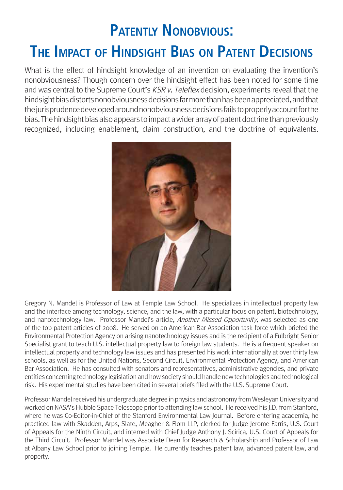## **Patently Nonobvious: The Impact of Hindsight Bias on Patent Decisions**

What is the effect of hindsight knowledge of an invention on evaluating the invention's nonobviousness? Though concern over the hindsight effect has been noted for some time and was central to the Supreme Court's KSR v. Teleflex decision, experiments reveal that the hindsight bias distorts nonobviousness decisions far more than has been appreciated, and that the jurisprudence developed around nonobviousness decisions fails to properly account for the bias. The hindsight bias also appears to impact a wider array of patent doctrine than previously recognized, including enablement, claim construction, and the doctrine of equivalents.



Gregory N. Mandel is Professor of Law at Temple Law School. He specializes in intellectual property law and the interface among technology, science, and the law, with a particular focus on patent, biotechnology, and nanotechnology law. Professor Mandel's article, *Another Missed Opportunity*, was selected as one of the top patent articles of 2008. He served on an American Bar Association task force which briefed the Environmental Protection Agency on arising nanotechnology issues and is the recipient of a Fulbright Senior Specialist grant to teach U.S. intellectual property law to foreign law students. He is a frequent speaker on intellectual property and technology law issues and has presented his work internationally at over thirty law schools, as well as for the United Nations, Second Circuit, Environmental Protection Agency, and American Bar Association. He has consulted with senators and representatives, administrative agencies, and private entities concerning technology legislation and how society should handle new technologies and technological risk. His experimental studies have been cited in several briefs filed with the U.S. Supreme Court.

Professor Mandel received his undergraduate degree in physics and astronomy from Wesleyan University and worked on NASA's Hubble Space Telescope prior to attending law school. He received his J.D. from Stanford, where he was Co-Editor-in-Chief of the Stanford Environmental Law Journal. Before entering academia, he practiced law with Skadden, Arps, Slate, Meagher & Flom LLP, clerked for Judge Jerome Farris, U.S. Court of Appeals for the Ninth Circuit, and interned with Chief Judge Anthony J. Scirica, U.S. Court of Appeals for the Third Circuit. Professor Mandel was Associate Dean for Research & Scholarship and Professor of Law at Albany Law School prior to joining Temple. He currently teaches patent law, advanced patent law, and property.